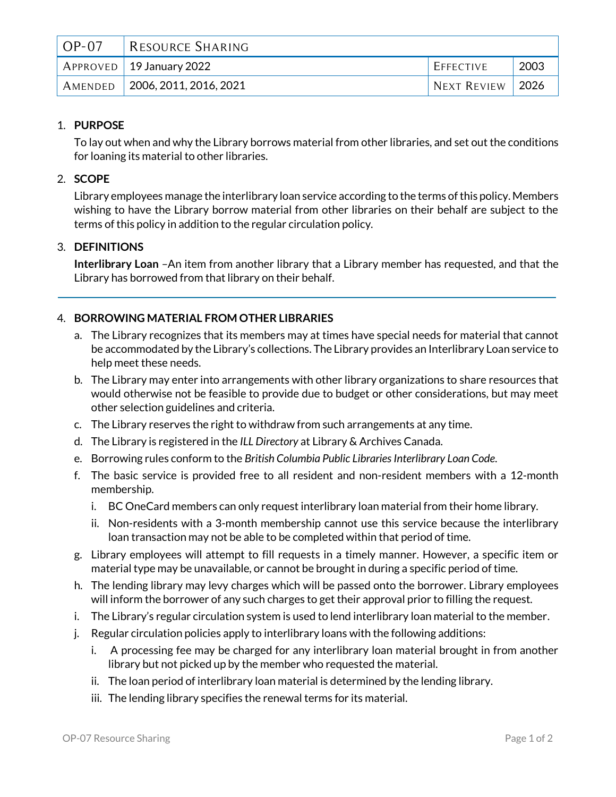| $OP-07$ | RESOURCE SHARING                       |                  |      |
|---------|----------------------------------------|------------------|------|
|         | $\mid$ APPROVED $\mid$ 19 January 2022 | EFFECTIVE        | 2003 |
|         | AMENDED   2006, 2011, 2016, 2021       | NEXT REVIEW 2026 |      |

## 1. **PURPOSE**

To lay out when and why the Library borrows material from other libraries, and set out the conditions for loaning its material to other libraries.

# 2. **SCOPE**

Library employees manage the interlibrary loan service according to the terms of this policy. Members wishing to have the Library borrow material from other libraries on their behalf are subject to the terms of this policy in addition to the regular circulation policy.

## 3. **DEFINITIONS**

**Interlibrary Loan** –An item from another library that a Library member has requested, and that the Library has borrowed from that library on their behalf.

## 4. **BORROWING MATERIAL FROM OTHER LIBRARIES**

- a. The Library recognizes that its members may at times have special needs for material that cannot be accommodated by the Library's collections. The Library provides an Interlibrary Loan service to help meet these needs.
- b. The Library may enter into arrangements with other library organizations to share resources that would otherwise not be feasible to provide due to budget or other considerations, but may meet other selection guidelines and criteria.
- c. The Library reserves the right to withdraw from such arrangements at any time.
- d. The Library is registered in the *ILL Directory* at Library & Archives Canada.
- e. Borrowing rules conform to the *British Columbia Public Libraries Interlibrary Loan Code*.
- f. The basic service is provided free to all resident and non-resident members with a 12-month membership.
	- i. BC OneCard members can only request interlibrary loan material from their home library.
	- ii. Non-residents with a 3-month membership cannot use this service because the interlibrary loan transaction may not be able to be completed within that period of time.
- g. Library employees will attempt to fill requests in a timely manner. However, a specific item or material type may be unavailable, or cannot be brought in during a specific period of time.
- h. The lending library may levy charges which will be passed onto the borrower. Library employees will inform the borrower of any such charges to get their approval prior to filling the request.
- i. The Library's regular circulation system is used to lend interlibrary loan material to the member.
- j. Regular circulation policies apply to interlibrary loans with the following additions:
	- i. A processing fee may be charged for any interlibrary loan material brought in from another library but not picked up by the member who requested the material.
	- ii. The loan period of interlibrary loan material is determined by the lending library.
	- iii. The lending library specifies the renewal terms for its material.